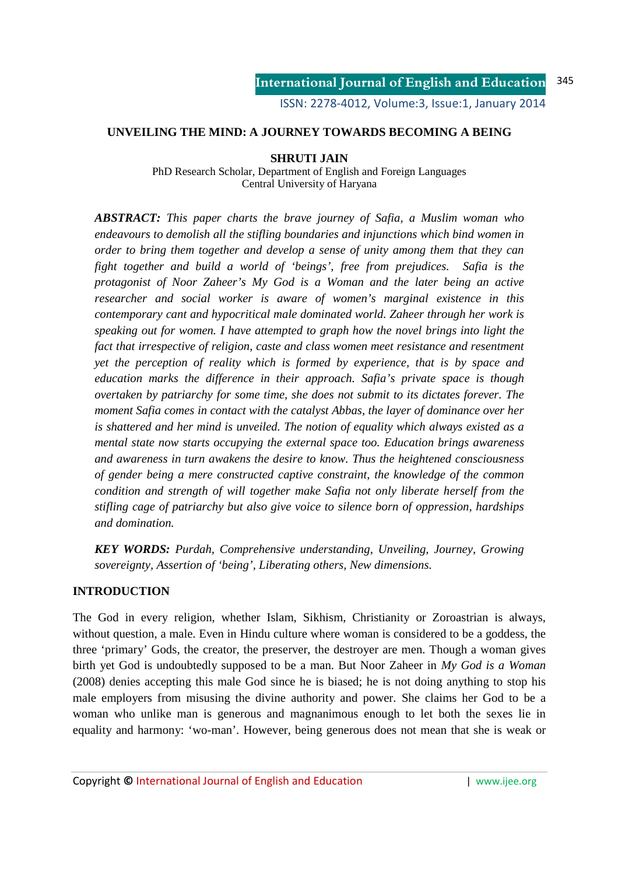ISSN: 2278-4012, Volume:3, Issue:1, January 2014

## **UNVEILING THE MIND: A JOURNEY TOWARDS BECOMING A BEING**

## **SHRUTI JAIN**

PhD Research Scholar, Department of English and Foreign Languages Central University of Haryana

*ABSTRACT: This paper charts the brave journey of Safia, a Muslim woman who endeavours to demolish all the stifling boundaries and injunctions which bind women in order to bring them together and develop a sense of unity among them that they can fight together and build a world of 'beings', free from prejudices. Safia is the protagonist of Noor Zaheer's My God is a Woman and the later being an active researcher and social worker is aware of women's marginal existence in this contemporary cant and hypocritical male dominated world. Zaheer through her work is speaking out for women. I have attempted to graph how the novel brings into light the fact that irrespective of religion, caste and class women meet resistance and resentment yet the perception of reality which is formed by experience, that is by space and education marks the difference in their approach. Safia's private space is though overtaken by patriarchy for some time, she does not submit to its dictates forever. The moment Safia comes in contact with the catalyst Abbas, the layer of dominance over her is shattered and her mind is unveiled. The notion of equality which always existed as a mental state now starts occupying the external space too. Education brings awareness and awareness in turn awakens the desire to know. Thus the heightened consciousness of gender being a mere constructed captive constraint, the knowledge of the common condition and strength of will together make Safia not only liberate herself from the stifling cage of patriarchy but also give voice to silence born of oppression, hardships and domination.* 

*KEY WORDS: Purdah, Comprehensive understanding, Unveiling, Journey, Growing sovereignty, Assertion of 'being', Liberating others, New dimensions.* 

## **INTRODUCTION**

The God in every religion, whether Islam, Sikhism, Christianity or Zoroastrian is always, without question, a male. Even in Hindu culture where woman is considered to be a goddess, the three 'primary' Gods, the creator, the preserver, the destroyer are men. Though a woman gives birth yet God is undoubtedly supposed to be a man. But Noor Zaheer in *My God is a Woman* (2008) denies accepting this male God since he is biased; he is not doing anything to stop his male employers from misusing the divine authority and power. She claims her God to be a woman who unlike man is generous and magnanimous enough to let both the sexes lie in equality and harmony: 'wo-man'. However, being generous does not mean that she is weak or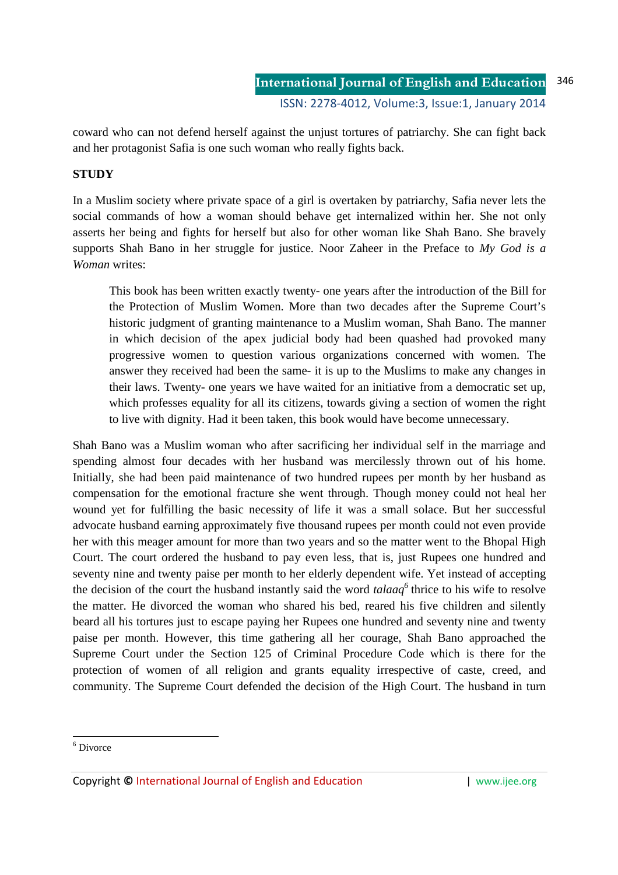coward who can not defend herself against the unjust tortures of patriarchy. She can fight back and her protagonist Safia is one such woman who really fights back.

# **STUDY**

In a Muslim society where private space of a girl is overtaken by patriarchy, Safia never lets the social commands of how a woman should behave get internalized within her. She not only asserts her being and fights for herself but also for other woman like Shah Bano. She bravely supports Shah Bano in her struggle for justice. Noor Zaheer in the Preface to *My God is a Woman* writes:

This book has been written exactly twenty- one years after the introduction of the Bill for the Protection of Muslim Women. More than two decades after the Supreme Court's historic judgment of granting maintenance to a Muslim woman, Shah Bano. The manner in which decision of the apex judicial body had been quashed had provoked many progressive women to question various organizations concerned with women. The answer they received had been the same- it is up to the Muslims to make any changes in their laws. Twenty- one years we have waited for an initiative from a democratic set up, which professes equality for all its citizens, towards giving a section of women the right to live with dignity. Had it been taken, this book would have become unnecessary.

Shah Bano was a Muslim woman who after sacrificing her individual self in the marriage and spending almost four decades with her husband was mercilessly thrown out of his home. Initially, she had been paid maintenance of two hundred rupees per month by her husband as compensation for the emotional fracture she went through. Though money could not heal her wound yet for fulfilling the basic necessity of life it was a small solace. But her successful advocate husband earning approximately five thousand rupees per month could not even provide her with this meager amount for more than two years and so the matter went to the Bhopal High Court. The court ordered the husband to pay even less, that is, just Rupees one hundred and seventy nine and twenty paise per month to her elderly dependent wife. Yet instead of accepting the decision of the court the husband instantly said the word *talaaq<sup>6</sup>* thrice to his wife to resolve the matter. He divorced the woman who shared his bed, reared his five children and silently beard all his tortures just to escape paying her Rupees one hundred and seventy nine and twenty paise per month. However, this time gathering all her courage, Shah Bano approached the Supreme Court under the Section 125 of Criminal Procedure Code which is there for the protection of women of all religion and grants equality irrespective of caste, creed, and community. The Supreme Court defended the decision of the High Court. The husband in turn

-

<sup>6</sup> Divorce

Copyright **©** International Journal of English and Education | www.ijee.org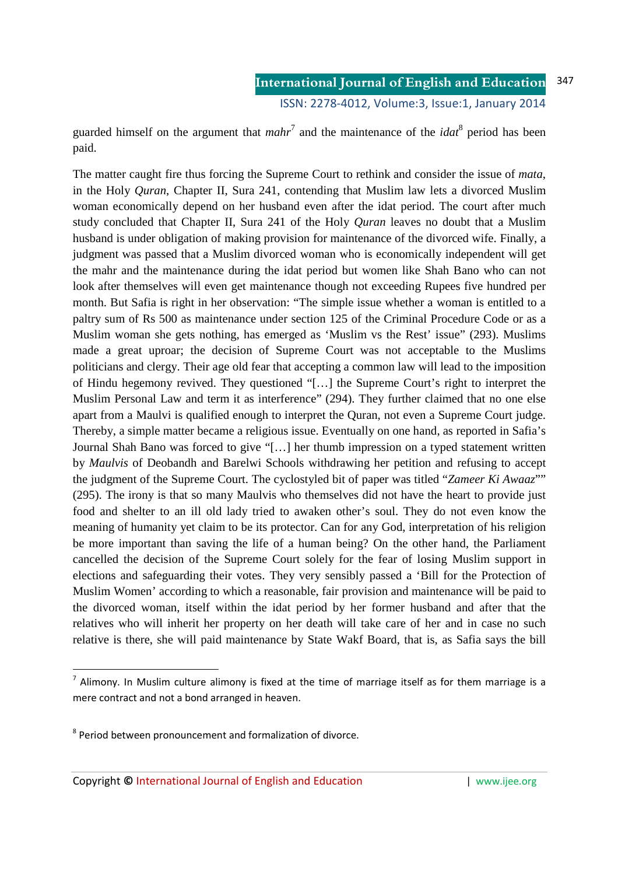guarded himself on the argument that  $mahr^7$  and the maintenance of the  $idat^8$  period has been paid.

The matter caught fire thus forcing the Supreme Court to rethink and consider the issue of *mata*, in the Holy *Quran*, Chapter II, Sura 241, contending that Muslim law lets a divorced Muslim woman economically depend on her husband even after the idat period. The court after much study concluded that Chapter II, Sura 241 of the Holy *Quran* leaves no doubt that a Muslim husband is under obligation of making provision for maintenance of the divorced wife. Finally, a judgment was passed that a Muslim divorced woman who is economically independent will get the mahr and the maintenance during the idat period but women like Shah Bano who can not look after themselves will even get maintenance though not exceeding Rupees five hundred per month. But Safia is right in her observation: "The simple issue whether a woman is entitled to a paltry sum of Rs 500 as maintenance under section 125 of the Criminal Procedure Code or as a Muslim woman she gets nothing, has emerged as 'Muslim vs the Rest' issue" (293). Muslims made a great uproar; the decision of Supreme Court was not acceptable to the Muslims politicians and clergy. Their age old fear that accepting a common law will lead to the imposition of Hindu hegemony revived. They questioned "[…] the Supreme Court's right to interpret the Muslim Personal Law and term it as interference" (294). They further claimed that no one else apart from a Maulvi is qualified enough to interpret the Quran, not even a Supreme Court judge. Thereby, a simple matter became a religious issue. Eventually on one hand, as reported in Safia's Journal Shah Bano was forced to give "[…] her thumb impression on a typed statement written by *Maulvis* of Deobandh and Barelwi Schools withdrawing her petition and refusing to accept the judgment of the Supreme Court. The cyclostyled bit of paper was titled "*Zameer Ki Awaaz*"" (295). The irony is that so many Maulvis who themselves did not have the heart to provide just food and shelter to an ill old lady tried to awaken other's soul. They do not even know the meaning of humanity yet claim to be its protector. Can for any God, interpretation of his religion be more important than saving the life of a human being? On the other hand, the Parliament cancelled the decision of the Supreme Court solely for the fear of losing Muslim support in elections and safeguarding their votes. They very sensibly passed a 'Bill for the Protection of Muslim Women' according to which a reasonable, fair provision and maintenance will be paid to the divorced woman, itself within the idat period by her former husband and after that the relatives who will inherit her property on her death will take care of her and in case no such relative is there, she will paid maintenance by State Wakf Board, that is, as Safia says the bill

<u>.</u>

Copyright **©** International Journal of English and Education | www.ijee.org

 $<sup>7</sup>$  Alimony. In Muslim culture alimony is fixed at the time of marriage itself as for them marriage is a</sup> mere contract and not a bond arranged in heaven.

<sup>&</sup>lt;sup>8</sup> Period between pronouncement and formalization of divorce.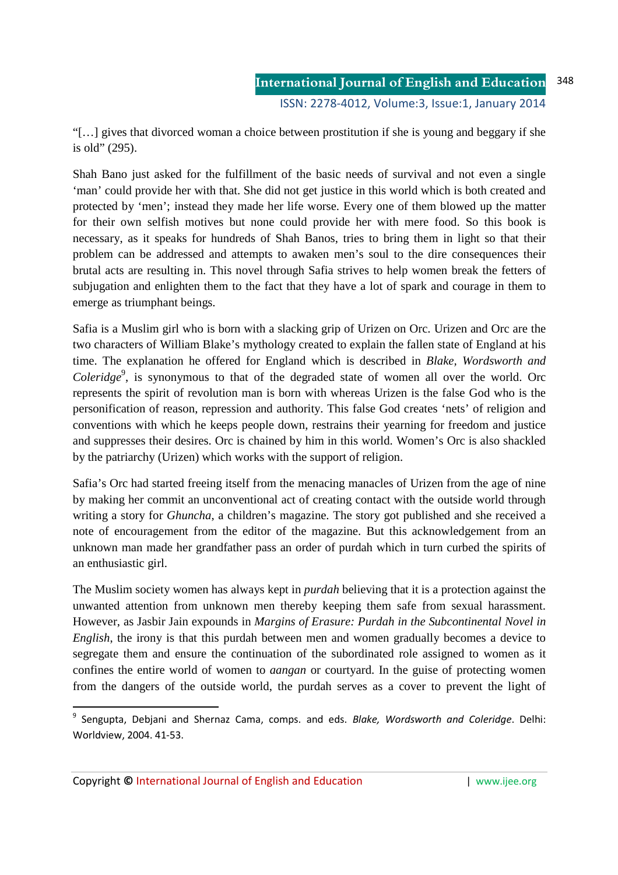"[…] gives that divorced woman a choice between prostitution if she is young and beggary if she is old" (295).

Shah Bano just asked for the fulfillment of the basic needs of survival and not even a single 'man' could provide her with that. She did not get justice in this world which is both created and protected by 'men'; instead they made her life worse. Every one of them blowed up the matter for their own selfish motives but none could provide her with mere food. So this book is necessary, as it speaks for hundreds of Shah Banos, tries to bring them in light so that their problem can be addressed and attempts to awaken men's soul to the dire consequences their brutal acts are resulting in. This novel through Safia strives to help women break the fetters of subjugation and enlighten them to the fact that they have a lot of spark and courage in them to emerge as triumphant beings.

Safia is a Muslim girl who is born with a slacking grip of Urizen on Orc. Urizen and Orc are the two characters of William Blake's mythology created to explain the fallen state of England at his time. The explanation he offered for England which is described in *Blake, Wordsworth and*  Coleridge<sup>9</sup>, is synonymous to that of the degraded state of women all over the world. Orc represents the spirit of revolution man is born with whereas Urizen is the false God who is the personification of reason, repression and authority. This false God creates 'nets' of religion and conventions with which he keeps people down, restrains their yearning for freedom and justice and suppresses their desires. Orc is chained by him in this world. Women's Orc is also shackled by the patriarchy (Urizen) which works with the support of religion.

Safia's Orc had started freeing itself from the menacing manacles of Urizen from the age of nine by making her commit an unconventional act of creating contact with the outside world through writing a story for *Ghuncha*, a children's magazine. The story got published and she received a note of encouragement from the editor of the magazine. But this acknowledgement from an unknown man made her grandfather pass an order of purdah which in turn curbed the spirits of an enthusiastic girl.

The Muslim society women has always kept in *purdah* believing that it is a protection against the unwanted attention from unknown men thereby keeping them safe from sexual harassment. However, as Jasbir Jain expounds in *Margins of Erasure: Purdah in the Subcontinental Novel in English*, the irony is that this purdah between men and women gradually becomes a device to segregate them and ensure the continuation of the subordinated role assigned to women as it confines the entire world of women to *aangan* or courtyard. In the guise of protecting women from the dangers of the outside world, the purdah serves as a cover to prevent the light of

.<br>-

<sup>9</sup> Sengupta, Debjani and Shernaz Cama, comps. and eds. *Blake, Wordsworth and Coleridge*. Delhi: Worldview, 2004. 41-53.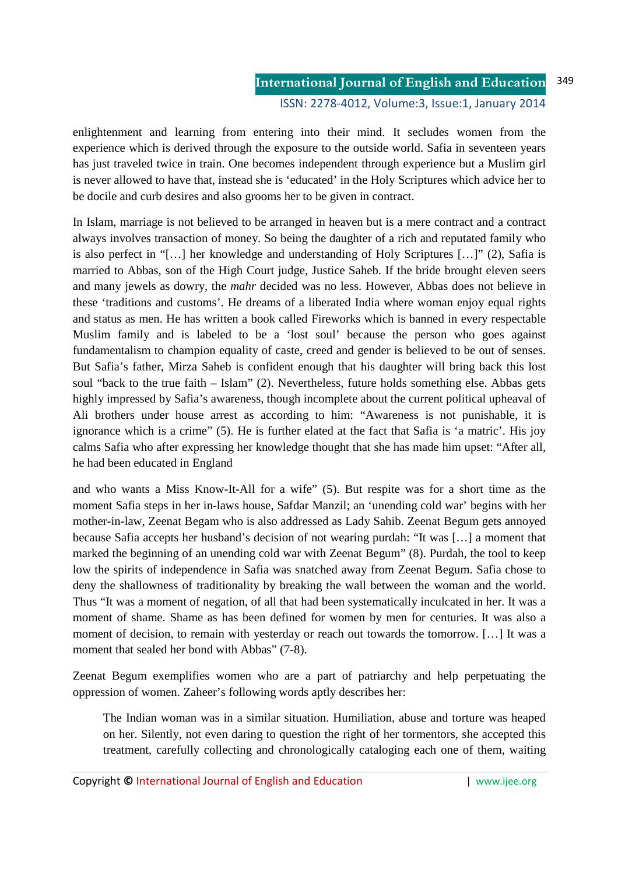### **International Journal of English and Education** ISSN: 2278-4012, Volume:3, Issue:1, January 2014 349

enlightenment and learning from entering into their mind. It secludes women from the experience which is derived through the exposure to the outside world. Safia in seventeen years has just traveled twice in train. One becomes independent through experience but a Muslim girl is never allowed to have that, instead she is 'educated' in the Holy Scriptures which advice her to be docile and curb desires and also grooms her to be given in contract.

In Islam, marriage is not believed to be arranged in heaven but is a mere contract and a contract always involves transaction of money. So being the daughter of a rich and reputated family who is also perfect in "[…] her knowledge and understanding of Holy Scriptures […]" (2), Safia is married to Abbas, son of the High Court judge, Justice Saheb. If the bride brought eleven seers and many jewels as dowry, the *mahr* decided was no less. However, Abbas does not believe in these 'traditions and customs'. He dreams of a liberated India where woman enjoy equal rights and status as men. He has written a book called Fireworks which is banned in every respectable Muslim family and is labeled to be a 'lost soul' because the person who goes against fundamentalism to champion equality of caste, creed and gender is believed to be out of senses. But Safia's father, Mirza Saheb is confident enough that his daughter will bring back this lost soul "back to the true faith – Islam" (2). Nevertheless, future holds something else. Abbas gets highly impressed by Safia's awareness, though incomplete about the current political upheaval of Ali brothers under house arrest as according to him: "Awareness is not punishable, it is ignorance which is a crime" (5). He is further elated at the fact that Safia is 'a matric'. His joy calms Safia who after expressing her knowledge thought that she has made him upset: "After all, he had been educated in England

and who wants a Miss Know-It-All for a wife" (5). But respite was for a short time as the moment Safia steps in her in-laws house, Safdar Manzil; an 'unending cold war' begins with her mother-in-law, Zeenat Begam who is also addressed as Lady Sahib. Zeenat Begum gets annoyed because Safia accepts her husband's decision of not wearing purdah: "It was […] a moment that marked the beginning of an unending cold war with Zeenat Begum" (8). Purdah, the tool to keep low the spirits of independence in Safia was snatched away from Zeenat Begum. Safia chose to deny the shallowness of traditionality by breaking the wall between the woman and the world. Thus "It was a moment of negation, of all that had been systematically inculcated in her. It was a moment of shame. Shame as has been defined for women by men for centuries. It was also a moment of decision, to remain with yesterday or reach out towards the tomorrow. […] It was a moment that sealed her bond with Abbas" (7-8).

Zeenat Begum exemplifies women who are a part of patriarchy and help perpetuating the oppression of women. Zaheer's following words aptly describes her:

The Indian woman was in a similar situation. Humiliation, abuse and torture was heaped on her. Silently, not even daring to question the right of her tormentors, she accepted this treatment, carefully collecting and chronologically cataloging each one of them, waiting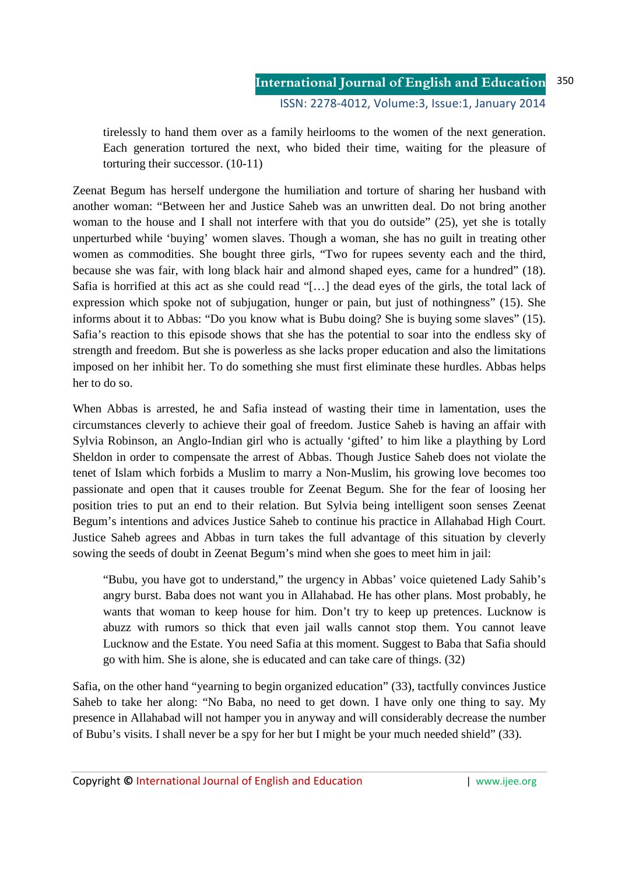### **International Journal of English and Education** ISSN: 2278-4012, Volume:3, Issue:1, January 2014 350

tirelessly to hand them over as a family heirlooms to the women of the next generation. Each generation tortured the next, who bided their time, waiting for the pleasure of torturing their successor. (10-11)

Zeenat Begum has herself undergone the humiliation and torture of sharing her husband with another woman: "Between her and Justice Saheb was an unwritten deal. Do not bring another woman to the house and I shall not interfere with that you do outside" (25), yet she is totally unperturbed while 'buying' women slaves. Though a woman, she has no guilt in treating other women as commodities. She bought three girls, "Two for rupees seventy each and the third, because she was fair, with long black hair and almond shaped eyes, came for a hundred" (18). Safia is horrified at this act as she could read "[…] the dead eyes of the girls, the total lack of expression which spoke not of subjugation, hunger or pain, but just of nothingness" (15). She informs about it to Abbas: "Do you know what is Bubu doing? She is buying some slaves" (15). Safia's reaction to this episode shows that she has the potential to soar into the endless sky of strength and freedom. But she is powerless as she lacks proper education and also the limitations imposed on her inhibit her. To do something she must first eliminate these hurdles. Abbas helps her to do so.

When Abbas is arrested, he and Safia instead of wasting their time in lamentation, uses the circumstances cleverly to achieve their goal of freedom. Justice Saheb is having an affair with Sylvia Robinson, an Anglo-Indian girl who is actually 'gifted' to him like a plaything by Lord Sheldon in order to compensate the arrest of Abbas. Though Justice Saheb does not violate the tenet of Islam which forbids a Muslim to marry a Non-Muslim, his growing love becomes too passionate and open that it causes trouble for Zeenat Begum. She for the fear of loosing her position tries to put an end to their relation. But Sylvia being intelligent soon senses Zeenat Begum's intentions and advices Justice Saheb to continue his practice in Allahabad High Court. Justice Saheb agrees and Abbas in turn takes the full advantage of this situation by cleverly sowing the seeds of doubt in Zeenat Begum's mind when she goes to meet him in jail:

"Bubu, you have got to understand," the urgency in Abbas' voice quietened Lady Sahib's angry burst. Baba does not want you in Allahabad. He has other plans. Most probably, he wants that woman to keep house for him. Don't try to keep up pretences. Lucknow is abuzz with rumors so thick that even jail walls cannot stop them. You cannot leave Lucknow and the Estate. You need Safia at this moment. Suggest to Baba that Safia should go with him. She is alone, she is educated and can take care of things. (32)

Safia, on the other hand "yearning to begin organized education" (33), tactfully convinces Justice Saheb to take her along: "No Baba, no need to get down. I have only one thing to say. My presence in Allahabad will not hamper you in anyway and will considerably decrease the number of Bubu's visits. I shall never be a spy for her but I might be your much needed shield" (33).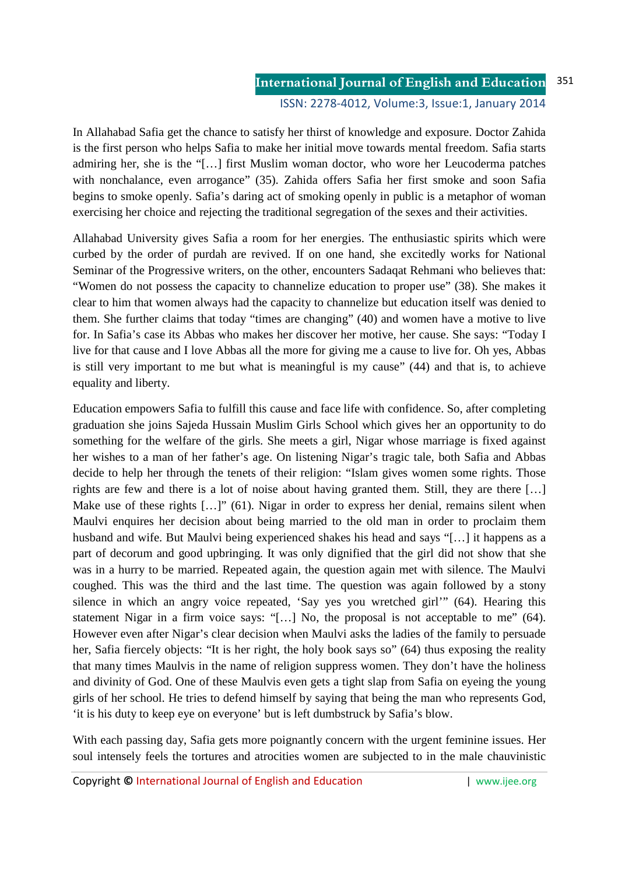In Allahabad Safia get the chance to satisfy her thirst of knowledge and exposure. Doctor Zahida is the first person who helps Safia to make her initial move towards mental freedom. Safia starts admiring her, she is the "[…] first Muslim woman doctor, who wore her Leucoderma patches with nonchalance, even arrogance" (35). Zahida offers Safia her first smoke and soon Safia begins to smoke openly. Safia's daring act of smoking openly in public is a metaphor of woman exercising her choice and rejecting the traditional segregation of the sexes and their activities.

Allahabad University gives Safia a room for her energies. The enthusiastic spirits which were curbed by the order of purdah are revived. If on one hand, she excitedly works for National Seminar of the Progressive writers, on the other, encounters Sadaqat Rehmani who believes that: "Women do not possess the capacity to channelize education to proper use" (38). She makes it clear to him that women always had the capacity to channelize but education itself was denied to them. She further claims that today "times are changing" (40) and women have a motive to live for. In Safia's case its Abbas who makes her discover her motive, her cause. She says: "Today I live for that cause and I love Abbas all the more for giving me a cause to live for. Oh yes, Abbas is still very important to me but what is meaningful is my cause" (44) and that is, to achieve equality and liberty.

Education empowers Safia to fulfill this cause and face life with confidence. So, after completing graduation she joins Sajeda Hussain Muslim Girls School which gives her an opportunity to do something for the welfare of the girls. She meets a girl, Nigar whose marriage is fixed against her wishes to a man of her father's age. On listening Nigar's tragic tale, both Safia and Abbas decide to help her through the tenets of their religion: "Islam gives women some rights. Those rights are few and there is a lot of noise about having granted them. Still, they are there […] Make use of these rights [...]" (61). Nigar in order to express her denial, remains silent when Maulvi enquires her decision about being married to the old man in order to proclaim them husband and wife. But Maulvi being experienced shakes his head and says "[…] it happens as a part of decorum and good upbringing. It was only dignified that the girl did not show that she was in a hurry to be married. Repeated again, the question again met with silence. The Maulvi coughed. This was the third and the last time. The question was again followed by a stony silence in which an angry voice repeated, 'Say yes you wretched girl'" (64). Hearing this statement Nigar in a firm voice says: "[…] No, the proposal is not acceptable to me" (64). However even after Nigar's clear decision when Maulvi asks the ladies of the family to persuade her, Safia fiercely objects: "It is her right, the holy book says so" (64) thus exposing the reality that many times Maulvis in the name of religion suppress women. They don't have the holiness and divinity of God. One of these Maulvis even gets a tight slap from Safia on eyeing the young girls of her school. He tries to defend himself by saying that being the man who represents God, 'it is his duty to keep eye on everyone' but is left dumbstruck by Safia's blow.

With each passing day, Safia gets more poignantly concern with the urgent feminine issues. Her soul intensely feels the tortures and atrocities women are subjected to in the male chauvinistic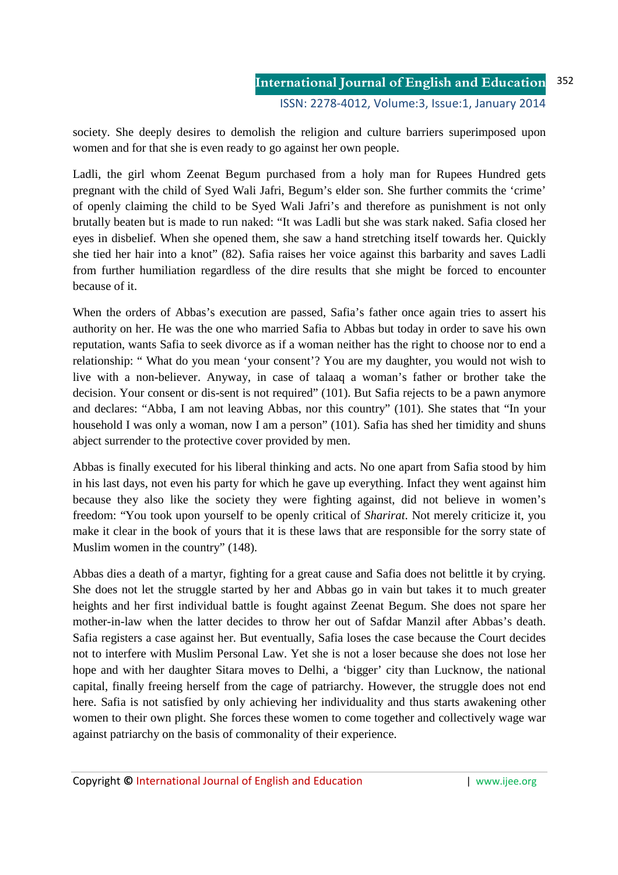society. She deeply desires to demolish the religion and culture barriers superimposed upon women and for that she is even ready to go against her own people.

Ladli, the girl whom Zeenat Begum purchased from a holy man for Rupees Hundred gets pregnant with the child of Syed Wali Jafri, Begum's elder son. She further commits the 'crime' of openly claiming the child to be Syed Wali Jafri's and therefore as punishment is not only brutally beaten but is made to run naked: "It was Ladli but she was stark naked. Safia closed her eyes in disbelief. When she opened them, she saw a hand stretching itself towards her. Quickly she tied her hair into a knot" (82). Safia raises her voice against this barbarity and saves Ladli from further humiliation regardless of the dire results that she might be forced to encounter because of it.

When the orders of Abbas's execution are passed, Safia's father once again tries to assert his authority on her. He was the one who married Safia to Abbas but today in order to save his own reputation, wants Safia to seek divorce as if a woman neither has the right to choose nor to end a relationship: " What do you mean 'your consent'? You are my daughter, you would not wish to live with a non-believer. Anyway, in case of talaaq a woman's father or brother take the decision. Your consent or dis-sent is not required" (101). But Safia rejects to be a pawn anymore and declares: "Abba, I am not leaving Abbas, nor this country" (101). She states that "In your household I was only a woman, now I am a person" (101). Safia has shed her timidity and shuns abject surrender to the protective cover provided by men.

Abbas is finally executed for his liberal thinking and acts. No one apart from Safia stood by him in his last days, not even his party for which he gave up everything. Infact they went against him because they also like the society they were fighting against, did not believe in women's freedom: "You took upon yourself to be openly critical of *Sharirat*. Not merely criticize it, you make it clear in the book of yours that it is these laws that are responsible for the sorry state of Muslim women in the country" (148).

Abbas dies a death of a martyr, fighting for a great cause and Safia does not belittle it by crying. She does not let the struggle started by her and Abbas go in vain but takes it to much greater heights and her first individual battle is fought against Zeenat Begum. She does not spare her mother-in-law when the latter decides to throw her out of Safdar Manzil after Abbas's death. Safia registers a case against her. But eventually, Safia loses the case because the Court decides not to interfere with Muslim Personal Law. Yet she is not a loser because she does not lose her hope and with her daughter Sitara moves to Delhi, a 'bigger' city than Lucknow, the national capital, finally freeing herself from the cage of patriarchy. However, the struggle does not end here. Safia is not satisfied by only achieving her individuality and thus starts awakening other women to their own plight. She forces these women to come together and collectively wage war against patriarchy on the basis of commonality of their experience.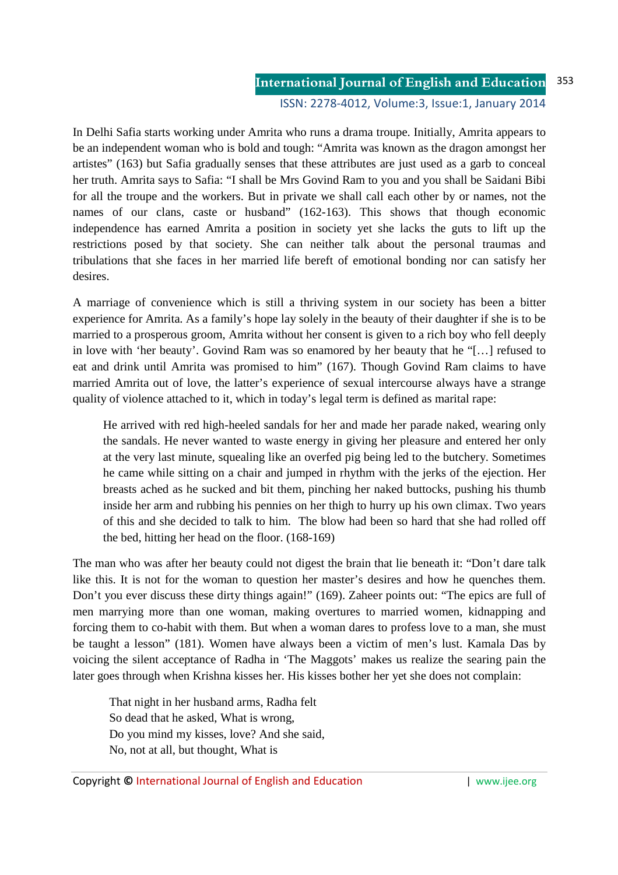## **International Journal of English and Education** 353

ISSN: 2278-4012, Volume:3, Issue:1, January 2014

In Delhi Safia starts working under Amrita who runs a drama troupe. Initially, Amrita appears to be an independent woman who is bold and tough: "Amrita was known as the dragon amongst her artistes" (163) but Safia gradually senses that these attributes are just used as a garb to conceal her truth. Amrita says to Safia: "I shall be Mrs Govind Ram to you and you shall be Saidani Bibi for all the troupe and the workers. But in private we shall call each other by or names, not the names of our clans, caste or husband" (162-163). This shows that though economic independence has earned Amrita a position in society yet she lacks the guts to lift up the restrictions posed by that society. She can neither talk about the personal traumas and tribulations that she faces in her married life bereft of emotional bonding nor can satisfy her desires.

A marriage of convenience which is still a thriving system in our society has been a bitter experience for Amrita. As a family's hope lay solely in the beauty of their daughter if she is to be married to a prosperous groom, Amrita without her consent is given to a rich boy who fell deeply in love with 'her beauty'. Govind Ram was so enamored by her beauty that he "[…] refused to eat and drink until Amrita was promised to him" (167). Though Govind Ram claims to have married Amrita out of love, the latter's experience of sexual intercourse always have a strange quality of violence attached to it, which in today's legal term is defined as marital rape:

He arrived with red high-heeled sandals for her and made her parade naked, wearing only the sandals. He never wanted to waste energy in giving her pleasure and entered her only at the very last minute, squealing like an overfed pig being led to the butchery. Sometimes he came while sitting on a chair and jumped in rhythm with the jerks of the ejection. Her breasts ached as he sucked and bit them, pinching her naked buttocks, pushing his thumb inside her arm and rubbing his pennies on her thigh to hurry up his own climax. Two years of this and she decided to talk to him. The blow had been so hard that she had rolled off the bed, hitting her head on the floor. (168-169)

The man who was after her beauty could not digest the brain that lie beneath it: "Don't dare talk like this. It is not for the woman to question her master's desires and how he quenches them. Don't you ever discuss these dirty things again!" (169). Zaheer points out: "The epics are full of men marrying more than one woman, making overtures to married women, kidnapping and forcing them to co-habit with them. But when a woman dares to profess love to a man, she must be taught a lesson" (181). Women have always been a victim of men's lust. Kamala Das by voicing the silent acceptance of Radha in 'The Maggots' makes us realize the searing pain the later goes through when Krishna kisses her. His kisses bother her yet she does not complain:

 That night in her husband arms, Radha felt So dead that he asked, What is wrong, Do you mind my kisses, love? And she said, No, not at all, but thought, What is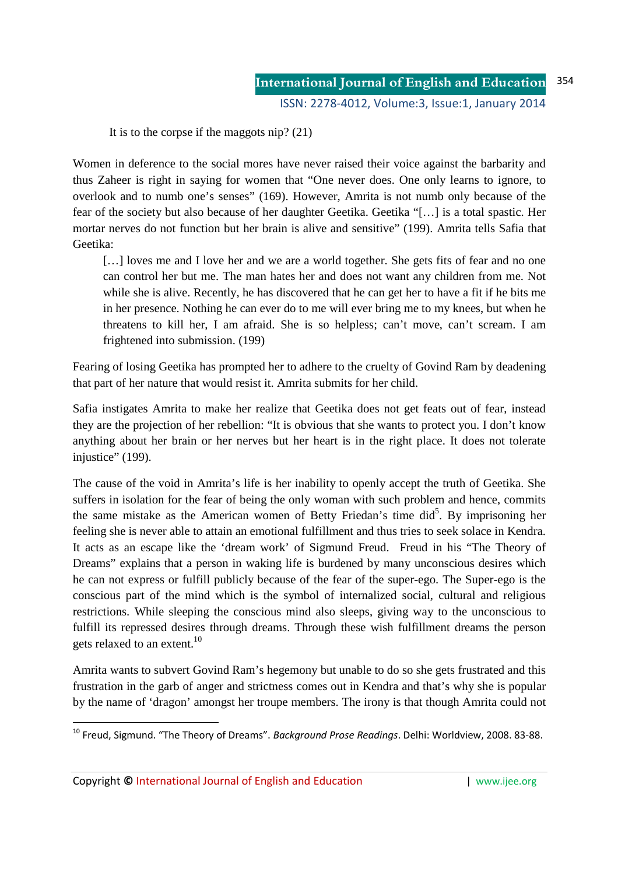It is to the corpse if the maggots nip? (21)

Women in deference to the social mores have never raised their voice against the barbarity and thus Zaheer is right in saying for women that "One never does. One only learns to ignore, to overlook and to numb one's senses" (169). However, Amrita is not numb only because of the fear of the society but also because of her daughter Geetika. Geetika "[…] is a total spastic. Her mortar nerves do not function but her brain is alive and sensitive" (199). Amrita tells Safia that Geetika:

[...] loves me and I love her and we are a world together. She gets fits of fear and no one can control her but me. The man hates her and does not want any children from me. Not while she is alive. Recently, he has discovered that he can get her to have a fit if he bits me in her presence. Nothing he can ever do to me will ever bring me to my knees, but when he threatens to kill her, I am afraid. She is so helpless; can't move, can't scream. I am frightened into submission. (199)

Fearing of losing Geetika has prompted her to adhere to the cruelty of Govind Ram by deadening that part of her nature that would resist it. Amrita submits for her child.

Safia instigates Amrita to make her realize that Geetika does not get feats out of fear, instead they are the projection of her rebellion: "It is obvious that she wants to protect you. I don't know anything about her brain or her nerves but her heart is in the right place. It does not tolerate injustice" (199).

The cause of the void in Amrita's life is her inability to openly accept the truth of Geetika. She suffers in isolation for the fear of being the only woman with such problem and hence, commits the same mistake as the American women of Betty Friedan's time did<sup>5</sup>. By imprisoning her feeling she is never able to attain an emotional fulfillment and thus tries to seek solace in Kendra. It acts as an escape like the 'dream work' of Sigmund Freud. Freud in his "The Theory of Dreams" explains that a person in waking life is burdened by many unconscious desires which he can not express or fulfill publicly because of the fear of the super-ego. The Super-ego is the conscious part of the mind which is the symbol of internalized social, cultural and religious restrictions. While sleeping the conscious mind also sleeps, giving way to the unconscious to fulfill its repressed desires through dreams. Through these wish fulfillment dreams the person gets relaxed to an extent.<sup>10</sup>

Amrita wants to subvert Govind Ram's hegemony but unable to do so she gets frustrated and this frustration in the garb of anger and strictness comes out in Kendra and that's why she is popular by the name of 'dragon' amongst her troupe members. The irony is that though Amrita could not

Copyright **©** International Journal of English and Education | www.ijee.org

<u>.</u>

<sup>10</sup> Freud, Sigmund. "The Theory of Dreams". *Background Prose Readings*. Delhi: Worldview, 2008. 83-88.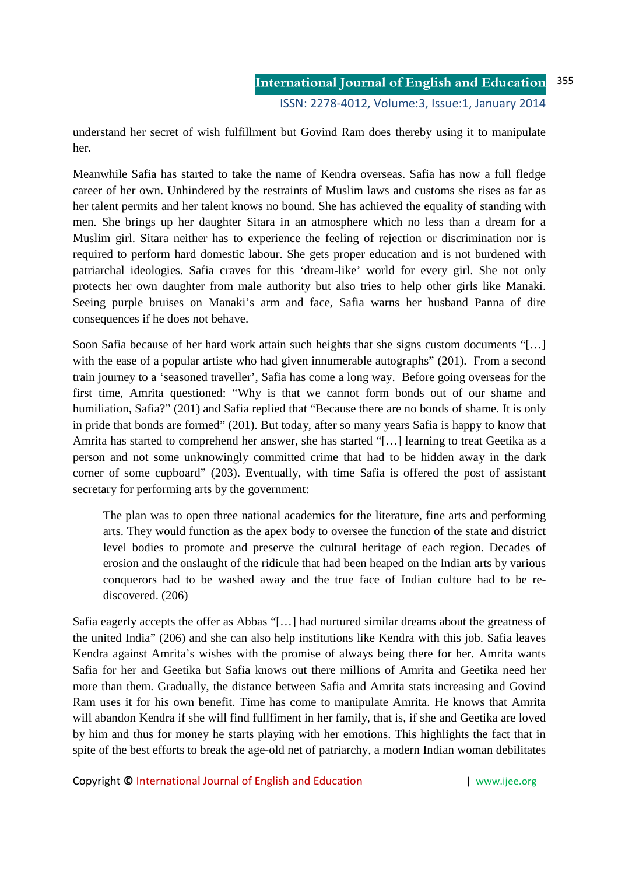understand her secret of wish fulfillment but Govind Ram does thereby using it to manipulate her.

Meanwhile Safia has started to take the name of Kendra overseas. Safia has now a full fledge career of her own. Unhindered by the restraints of Muslim laws and customs she rises as far as her talent permits and her talent knows no bound. She has achieved the equality of standing with men. She brings up her daughter Sitara in an atmosphere which no less than a dream for a Muslim girl. Sitara neither has to experience the feeling of rejection or discrimination nor is required to perform hard domestic labour. She gets proper education and is not burdened with patriarchal ideologies. Safia craves for this 'dream-like' world for every girl. She not only protects her own daughter from male authority but also tries to help other girls like Manaki. Seeing purple bruises on Manaki's arm and face, Safia warns her husband Panna of dire consequences if he does not behave.

Soon Safia because of her hard work attain such heights that she signs custom documents "[…] with the ease of a popular artiste who had given innumerable autographs" (201). From a second train journey to a 'seasoned traveller', Safia has come a long way. Before going overseas for the first time, Amrita questioned: "Why is that we cannot form bonds out of our shame and humiliation, Safia?" (201) and Safia replied that "Because there are no bonds of shame. It is only in pride that bonds are formed" (201). But today, after so many years Safia is happy to know that Amrita has started to comprehend her answer, she has started "[…] learning to treat Geetika as a person and not some unknowingly committed crime that had to be hidden away in the dark corner of some cupboard" (203). Eventually, with time Safia is offered the post of assistant secretary for performing arts by the government:

The plan was to open three national academics for the literature, fine arts and performing arts. They would function as the apex body to oversee the function of the state and district level bodies to promote and preserve the cultural heritage of each region. Decades of erosion and the onslaught of the ridicule that had been heaped on the Indian arts by various conquerors had to be washed away and the true face of Indian culture had to be rediscovered. (206)

Safia eagerly accepts the offer as Abbas "[…] had nurtured similar dreams about the greatness of the united India" (206) and she can also help institutions like Kendra with this job. Safia leaves Kendra against Amrita's wishes with the promise of always being there for her. Amrita wants Safia for her and Geetika but Safia knows out there millions of Amrita and Geetika need her more than them. Gradually, the distance between Safia and Amrita stats increasing and Govind Ram uses it for his own benefit. Time has come to manipulate Amrita. He knows that Amrita will abandon Kendra if she will find fullfiment in her family, that is, if she and Geetika are loved by him and thus for money he starts playing with her emotions. This highlights the fact that in spite of the best efforts to break the age-old net of patriarchy, a modern Indian woman debilitates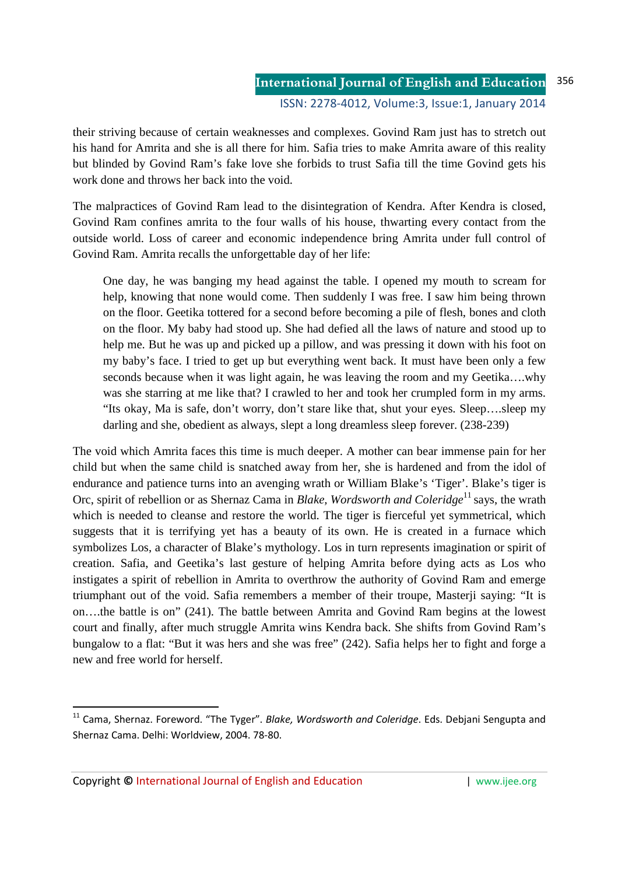their striving because of certain weaknesses and complexes. Govind Ram just has to stretch out his hand for Amrita and she is all there for him. Safia tries to make Amrita aware of this reality but blinded by Govind Ram's fake love she forbids to trust Safia till the time Govind gets his work done and throws her back into the void.

The malpractices of Govind Ram lead to the disintegration of Kendra. After Kendra is closed, Govind Ram confines amrita to the four walls of his house, thwarting every contact from the outside world. Loss of career and economic independence bring Amrita under full control of Govind Ram. Amrita recalls the unforgettable day of her life:

One day, he was banging my head against the table. I opened my mouth to scream for help, knowing that none would come. Then suddenly I was free. I saw him being thrown on the floor. Geetika tottered for a second before becoming a pile of flesh, bones and cloth on the floor. My baby had stood up. She had defied all the laws of nature and stood up to help me. But he was up and picked up a pillow, and was pressing it down with his foot on my baby's face. I tried to get up but everything went back. It must have been only a few seconds because when it was light again, he was leaving the room and my Geetika....why was she starring at me like that? I crawled to her and took her crumpled form in my arms. "Its okay, Ma is safe, don't worry, don't stare like that, shut your eyes. Sleep….sleep my darling and she, obedient as always, slept a long dreamless sleep forever. (238-239)

The void which Amrita faces this time is much deeper. A mother can bear immense pain for her child but when the same child is snatched away from her, she is hardened and from the idol of endurance and patience turns into an avenging wrath or William Blake's 'Tiger'. Blake's tiger is Orc, spirit of rebellion or as Shernaz Cama in *Blake, Wordsworth and Coleridge*<sup>11</sup> says, the wrath which is needed to cleanse and restore the world. The tiger is fierceful yet symmetrical, which suggests that it is terrifying yet has a beauty of its own. He is created in a furnace which symbolizes Los, a character of Blake's mythology. Los in turn represents imagination or spirit of creation. Safia, and Geetika's last gesture of helping Amrita before dying acts as Los who instigates a spirit of rebellion in Amrita to overthrow the authority of Govind Ram and emerge triumphant out of the void. Safia remembers a member of their troupe, Masterji saying: "It is on….the battle is on" (241). The battle between Amrita and Govind Ram begins at the lowest court and finally, after much struggle Amrita wins Kendra back. She shifts from Govind Ram's bungalow to a flat: "But it was hers and she was free" (242). Safia helps her to fight and forge a new and free world for herself.

Copyright **©** International Journal of English and Education | www.ijee.org

.<br>-

<sup>11</sup> Cama, Shernaz. Foreword. "The Tyger". *Blake, Wordsworth and Coleridge*. Eds. Debjani Sengupta and Shernaz Cama. Delhi: Worldview, 2004. 78-80.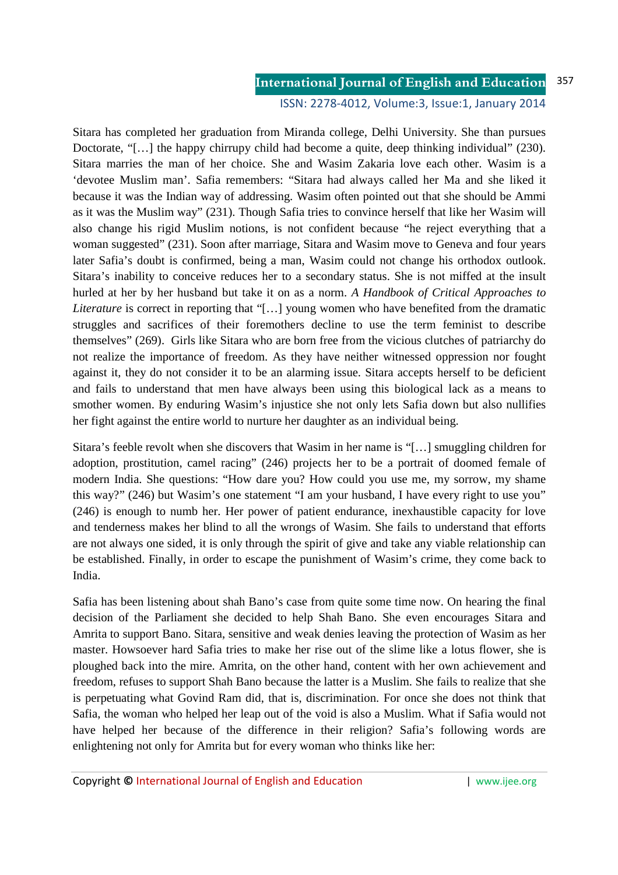#### **International Journal of English and Education** 357

### ISSN: 2278-4012, Volume:3, Issue:1, January 2014

Sitara has completed her graduation from Miranda college, Delhi University. She than pursues Doctorate, "[...] the happy chirrupy child had become a quite, deep thinking individual" (230). Sitara marries the man of her choice. She and Wasim Zakaria love each other. Wasim is a 'devotee Muslim man'. Safia remembers: "Sitara had always called her Ma and she liked it because it was the Indian way of addressing. Wasim often pointed out that she should be Ammi as it was the Muslim way" (231). Though Safia tries to convince herself that like her Wasim will also change his rigid Muslim notions, is not confident because "he reject everything that a woman suggested" (231). Soon after marriage, Sitara and Wasim move to Geneva and four years later Safia's doubt is confirmed, being a man, Wasim could not change his orthodox outlook. Sitara's inability to conceive reduces her to a secondary status. She is not miffed at the insult hurled at her by her husband but take it on as a norm. *A Handbook of Critical Approaches to Literature* is correct in reporting that "[…] young women who have benefited from the dramatic struggles and sacrifices of their foremothers decline to use the term feminist to describe themselves" (269). Girls like Sitara who are born free from the vicious clutches of patriarchy do not realize the importance of freedom. As they have neither witnessed oppression nor fought against it, they do not consider it to be an alarming issue. Sitara accepts herself to be deficient and fails to understand that men have always been using this biological lack as a means to smother women. By enduring Wasim's injustice she not only lets Safia down but also nullifies her fight against the entire world to nurture her daughter as an individual being.

Sitara's feeble revolt when she discovers that Wasim in her name is "[…] smuggling children for adoption, prostitution, camel racing" (246) projects her to be a portrait of doomed female of modern India. She questions: "How dare you? How could you use me, my sorrow, my shame this way?" (246) but Wasim's one statement "I am your husband, I have every right to use you" (246) is enough to numb her. Her power of patient endurance, inexhaustible capacity for love and tenderness makes her blind to all the wrongs of Wasim. She fails to understand that efforts are not always one sided, it is only through the spirit of give and take any viable relationship can be established. Finally, in order to escape the punishment of Wasim's crime, they come back to India.

Safia has been listening about shah Bano's case from quite some time now. On hearing the final decision of the Parliament she decided to help Shah Bano. She even encourages Sitara and Amrita to support Bano. Sitara, sensitive and weak denies leaving the protection of Wasim as her master. Howsoever hard Safia tries to make her rise out of the slime like a lotus flower, she is ploughed back into the mire. Amrita, on the other hand, content with her own achievement and freedom, refuses to support Shah Bano because the latter is a Muslim. She fails to realize that she is perpetuating what Govind Ram did, that is, discrimination. For once she does not think that Safia, the woman who helped her leap out of the void is also a Muslim. What if Safia would not have helped her because of the difference in their religion? Safia's following words are enlightening not only for Amrita but for every woman who thinks like her: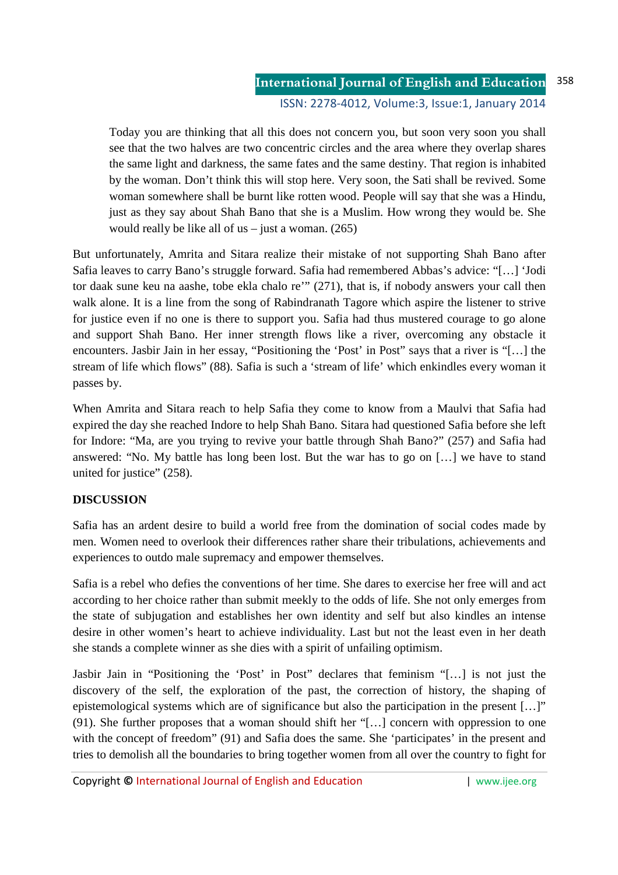Today you are thinking that all this does not concern you, but soon very soon you shall see that the two halves are two concentric circles and the area where they overlap shares the same light and darkness, the same fates and the same destiny. That region is inhabited by the woman. Don't think this will stop here. Very soon, the Sati shall be revived. Some woman somewhere shall be burnt like rotten wood. People will say that she was a Hindu, just as they say about Shah Bano that she is a Muslim. How wrong they would be. She would really be like all of us  $-$  just a woman. (265)

But unfortunately, Amrita and Sitara realize their mistake of not supporting Shah Bano after Safia leaves to carry Bano's struggle forward. Safia had remembered Abbas's advice: "[…] 'Jodi tor daak sune keu na aashe, tobe ekla chalo re'" (271), that is, if nobody answers your call then walk alone. It is a line from the song of Rabindranath Tagore which aspire the listener to strive for justice even if no one is there to support you. Safia had thus mustered courage to go alone and support Shah Bano. Her inner strength flows like a river, overcoming any obstacle it encounters. Jasbir Jain in her essay, "Positioning the 'Post' in Post" says that a river is "[…] the stream of life which flows" (88). Safia is such a 'stream of life' which enkindles every woman it passes by.

When Amrita and Sitara reach to help Safia they come to know from a Maulvi that Safia had expired the day she reached Indore to help Shah Bano. Sitara had questioned Safia before she left for Indore: "Ma, are you trying to revive your battle through Shah Bano?" (257) and Safia had answered: "No. My battle has long been lost. But the war has to go on […] we have to stand united for justice" (258).

# **DISCUSSION**

Safia has an ardent desire to build a world free from the domination of social codes made by men. Women need to overlook their differences rather share their tribulations, achievements and experiences to outdo male supremacy and empower themselves.

Safia is a rebel who defies the conventions of her time. She dares to exercise her free will and act according to her choice rather than submit meekly to the odds of life. She not only emerges from the state of subjugation and establishes her own identity and self but also kindles an intense desire in other women's heart to achieve individuality. Last but not the least even in her death she stands a complete winner as she dies with a spirit of unfailing optimism.

Jasbir Jain in "Positioning the 'Post' in Post" declares that feminism "[…] is not just the discovery of the self, the exploration of the past, the correction of history, the shaping of epistemological systems which are of significance but also the participation in the present […]" (91). She further proposes that a woman should shift her "[…] concern with oppression to one with the concept of freedom" (91) and Safia does the same. She 'participates' in the present and tries to demolish all the boundaries to bring together women from all over the country to fight for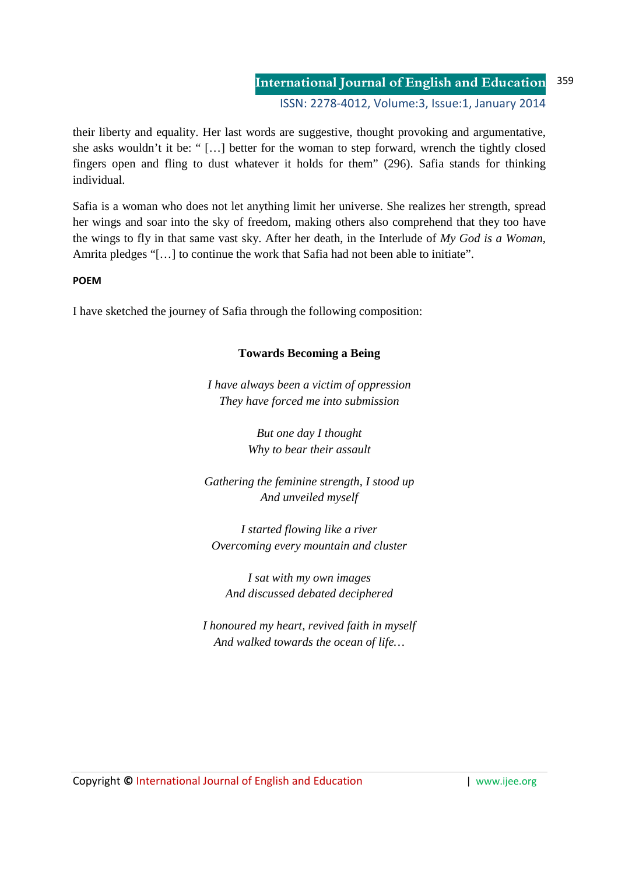### **International Journal of English and Education** ISSN: 2278-4012, Volume:3, Issue:1, January 2014 359

their liberty and equality. Her last words are suggestive, thought provoking and argumentative, she asks wouldn't it be: " […] better for the woman to step forward, wrench the tightly closed fingers open and fling to dust whatever it holds for them" (296). Safia stands for thinking individual.

Safia is a woman who does not let anything limit her universe. She realizes her strength, spread her wings and soar into the sky of freedom, making others also comprehend that they too have the wings to fly in that same vast sky. After her death, in the Interlude of *My God is a Woman*, Amrita pledges "[…] to continue the work that Safia had not been able to initiate".

## **POEM**

I have sketched the journey of Safia through the following composition:

# **Towards Becoming a Being**

*I have always been a victim of oppression They have forced me into submission* 

> *But one day I thought Why to bear their assault*

*Gathering the feminine strength, I stood up And unveiled myself* 

*I started flowing like a river Overcoming every mountain and cluster* 

*I sat with my own images And discussed debated deciphered* 

*I honoured my heart, revived faith in myself And walked towards the ocean of life…*